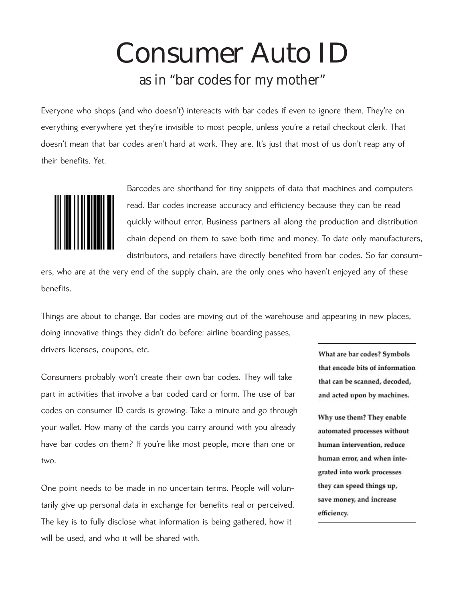**Consumer Auto ID**

## as in "bar codes for my mother"

Everyone who shops (and who doesn't) intereacts with bar codes if even to ignore them. They're on everything everywhere yet they're invisible to most people, unless you're a retail checkout clerk. That doesn't mean that bar codes aren't hard at work. They are. It's just that most of us don't reap any of their benefits. Yet.



Barcodes are shorthand for tiny snippets of data that machines and computers read. Bar codes increase accuracy and efficiency because they can be read quickly without error. Business partners all along the production and distribution chain depend on them to save both time and money. To date only manufacturers, distributors, and retailers have directly benefited from bar codes. So far consum-

ers, who are at the very end of the supply chain, are the only ones who haven't enjoyed any of these benefits.

Things are about to change. Bar codes are moving out of the warehouse and appearing in new places, doing innovative things they didn't do before: airline boarding passes,

drivers licenses, coupons, etc.

Consumers probably won't create their own bar codes. They will take part in activities that involve a bar coded card or form. The use of bar codes on consumer ID cards is growing. Take a minute and go through your wallet. How many of the cards you carry around with you already have bar codes on them? If you're like most people, more than one or two.

One point needs to be made in no uncertain terms. People will voluntarily give up personal data in exchange for benefits real or perceived. The key is to fully disclose what information is being gathered, how it will be used, and who it will be shared with.

What are bar codes? Symbols that encode bits of information that can be scanned, decoded, and acted upon by machines.

Why use them? They enable automated processes without human intervention, reduce human error, and when integrated into work processes they can speed things up, save money, and increase efficiency.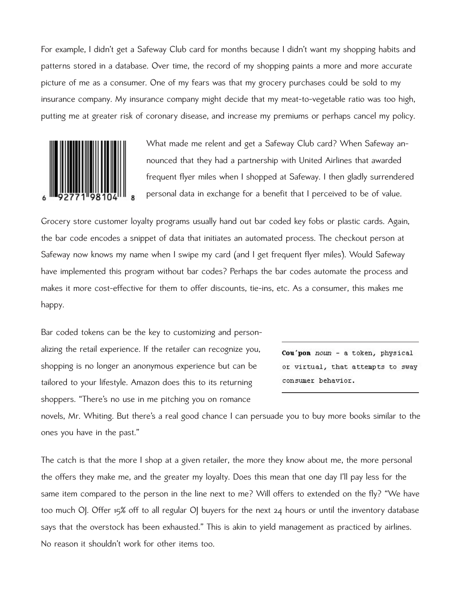For example, I didn't get a Safeway Club card for months because I didn't want my shopping habits and patterns stored in a database. Over time, the record of my shopping paints a more and more accurate picture of me as a consumer. One of my fears was that my grocery purchases could be sold to my insurance company. My insurance company might decide that my meat-to-vegetable ratio was too high, putting me at greater risk of coronary disease, and increase my premiums or perhaps cancel my policy.



What made me relent and get a Safeway Club card? When Safeway announced that they had a partnership with United Airlines that awarded frequent flyer miles when I shopped at Safeway. I then gladly surrendered personal data in exchange for a benefit that I perceived to be of value.

Grocery store customer loyalty programs usually hand out bar coded key fobs or plastic cards. Again, the bar code encodes a snippet of data that initiates an automated process. The checkout person at Safeway now knows my name when I swipe my card (and I get frequent flyer miles). Would Safeway have implemented this program without bar codes? Perhaps the bar codes automate the process and makes it more cost-effective for them to offer discounts, tie-ins, etc. As a consumer, this makes me happy.

Bar coded tokens can be the key to customizing and personalizing the retail experience. If the retailer can recognize you, shopping is no longer an anonymous experience but can be tailored to your lifestyle. Amazon does this to its returning shoppers. "There's no use in me pitching you on romance

Cou'pon noun - a token, physical or virtual, that attempts to sway consumer behavior.

novels, Mr. Whiting. But there's a real good chance I can persuade you to buy more books similar to the ones you have in the past."

The catch is that the more I shop at a given retailer, the more they know about me, the more personal the offers they make me, and the greater my loyalty. Does this mean that one day I'll pay less for the same item compared to the person in the line next to me? Will offers to extended on the fly? "We have too much OJ. Offer 15% off to all regular OJ buyers for the next 24 hours or until the inventory database says that the overstock has been exhausted." This is akin to yield management as practiced by airlines. No reason it shouldn't work for other items too.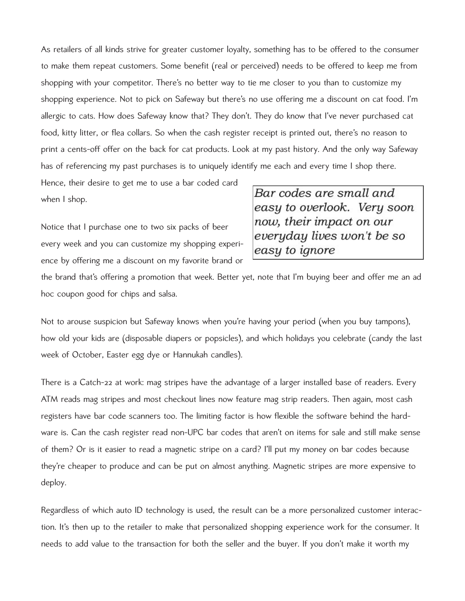As retailers of all kinds strive for greater customer loyalty, something has to be offered to the consumer to make them repeat customers. Some benefit (real or perceived) needs to be offered to keep me from shopping with your competitor. There's no better way to tie me closer to you than to customize my shopping experience. Not to pick on Safeway but there's no use offering me a discount on cat food. I'm allergic to cats. How does Safeway know that? They don't. They do know that I've never purchased cat food, kitty litter, or flea collars. So when the cash register receipt is printed out, there's no reason to print a cents-off offer on the back for cat products. Look at my past history. And the only way Safeway has of referencing my past purchases is to uniquely identify me each and every time I shop there.

Hence, their desire to get me to use a bar coded card when I shop.

Notice that I purchase one to two six packs of beer every week and you can customize my shopping experience by offering me a discount on my favorite brand or

Bar codes are small and easy to overlook. Very soon now, their impact on our everyday lives won't be so easy to ignore

the brand that's offering a promotion that week. Better yet, note that I'm buying beer and offer me an ad hoc coupon good for chips and salsa.

Not to arouse suspicion but Safeway knows when you're having your period (when you buy tampons), how old your kids are (disposable diapers or popsicles), and which holidays you celebrate (candy the last week of October, Easter egg dye or Hannukah candles).

There is a Catch-22 at work: mag stripes have the advantage of a larger installed base of readers. Every ATM reads mag stripes and most checkout lines now feature mag strip readers. Then again, most cash registers have bar code scanners too. The limiting factor is how flexible the software behind the hardware is. Can the cash register read non-UPC bar codes that aren't on items for sale and still make sense of them? Or is it easier to read a magnetic stripe on a card? I'll put my money on bar codes because they're cheaper to produce and can be put on almost anything. Magnetic stripes are more expensive to deploy.

Regardless of which auto ID technology is used, the result can be a more personalized customer interaction. It's then up to the retailer to make that personalized shopping experience work for the consumer. It needs to add value to the transaction for both the seller and the buyer. If you don't make it worth my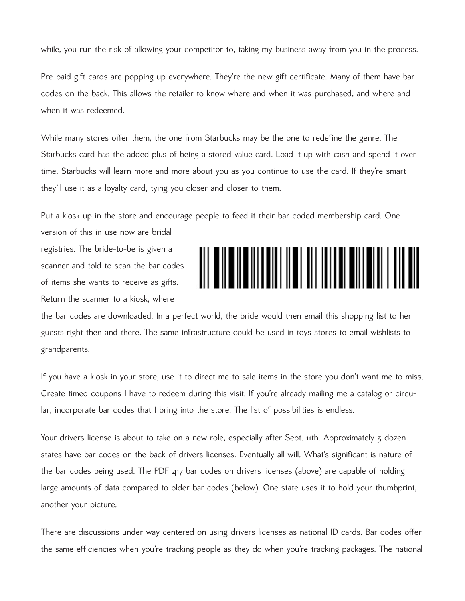while, you run the risk of allowing your competitor to, taking my business away from you in the process.

Pre-paid gift cards are popping up everywhere. They're the new gift certificate. Many of them have bar codes on the back. This allows the retailer to know where and when it was purchased, and where and when it was redeemed.

While many stores offer them, the one from Starbucks may be the one to redefine the genre. The Starbucks card has the added plus of being a stored value card. Load it up with cash and spend it over time. Starbucks will learn more and more about you as you continue to use the card. If they're smart they'll use it as a loyalty card, tying you closer and closer to them.

Put a kiosk up in the store and encourage people to feed it their bar coded membership card. One

version of this in use now are bridal registries. The bride-to-be is given a scanner and told to scan the bar codes of items she wants to receive as gifts. Return the scanner to a kiosk, where



the bar codes are downloaded. In a perfect world, the bride would then email this shopping list to her guests right then and there. The same infrastructure could be used in toys stores to email wishlists to grandparents.

If you have a kiosk in your store, use it to direct me to sale items in the store you don't want me to miss. Create timed coupons I have to redeem during this visit. If you're already mailing me a catalog or circular, incorporate bar codes that I bring into the store. The list of possibilities is endless.

Your drivers license is about to take on a new role, especially after Sept. 11th. Approximately 3 dozen states have bar codes on the back of drivers licenses. Eventually all will. What's significant is nature of the bar codes being used. The PDF 417 bar codes on drivers licenses (above) are capable of holding large amounts of data compared to older bar codes (below). One state uses it to hold your thumbprint, another your picture.

There are discussions under way centered on using drivers licenses as national ID cards. Bar codes offer the same efficiencies when you're tracking people as they do when you're tracking packages. The national